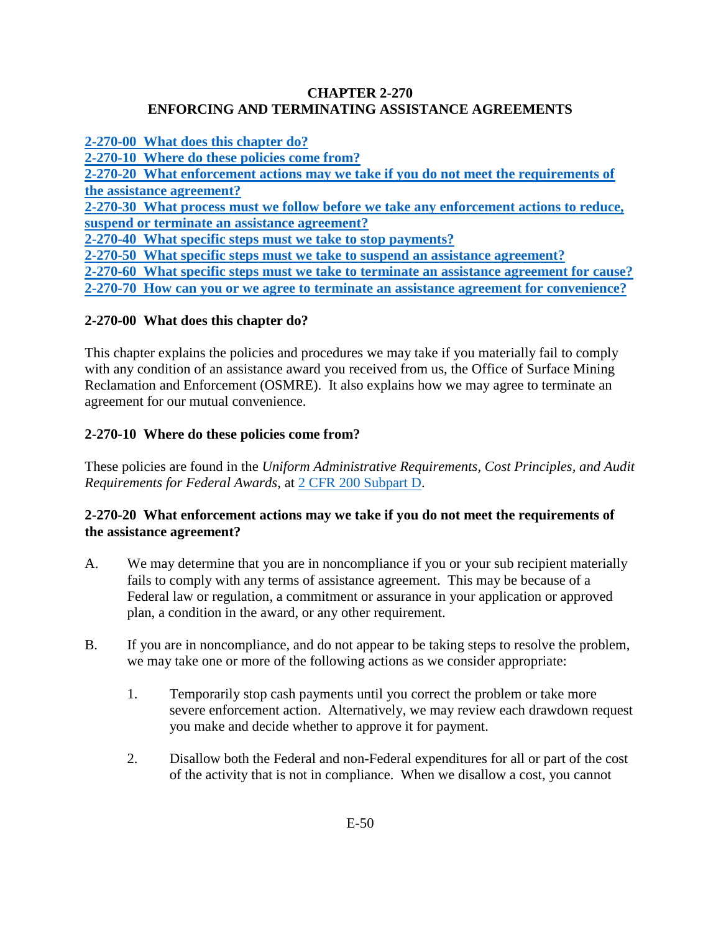## **CHAPTER 2-270 ENFORCING AND TERMINATING ASSISTANCE AGREEMENTS**

**[2-270-00 What does this chapter do?](#page-0-0)**

**2-270-10 Where [do these policies come from?](#page-0-1)**

**[2-270-20 What enforcement actions may we take if you do not meet the requirements of](#page-0-2) [the assistance agreement?](#page-0-2)** 

**[2-270-30 What process must we follow before we take any enforcement actions to reduce,](#page-1-0) [suspend or terminate an assistance agreement?](#page-1-0)**

**[2-270-40 What specific steps must we take to stop payments?](#page-2-0)**

**[2-270-50 What specific steps must we take to suspend an assistance agreement?](#page-2-1)**

**[2-270-60 What specific steps must we take to terminate an assistance agreement for cause?](#page-2-2)**

**[2-270-70 How can you or we agree to terminate an assistance agreement for convenience?](#page-3-0)**

# <span id="page-0-0"></span>**2-270-00 What does this chapter do?**

This chapter explains the policies and procedures we may take if you materially fail to comply with any condition of an assistance award you received from us, the Office of Surface Mining Reclamation and Enforcement (OSMRE). It also explains how we may agree to terminate an agreement for our mutual convenience.

# <span id="page-0-1"></span>**2-270-10 Where do these policies come from?**

These policies are found in the *Uniform Administrative Requirements, Cost Principles, and Audit Requirements for Federal Awards*, at [2 CFR 200 Subpart D.](http://www.ecfr.gov/cgi-bin/text-idx?SID=f6ddafc06dfa494200fbc08fe01681ec&node=pt2.1.200&rgn=div5)

# <span id="page-0-2"></span>**2-270-20 What enforcement actions may we take if you do not meet the requirements of the assistance agreement?**

- A. We may determine that you are in noncompliance if you or your sub recipient materially fails to comply with any terms of assistance agreement. This may be because of a Federal law or regulation, a commitment or assurance in your application or approved plan, a condition in the award, or any other requirement.
- B. If you are in noncompliance, and do not appear to be taking steps to resolve the problem, we may take one or more of the following actions as we consider appropriate:
	- 1. Temporarily stop cash payments until you correct the problem or take more severe enforcement action. Alternatively, we may review each drawdown request you make and decide whether to approve it for payment.
	- 2. Disallow both the Federal and non-Federal expenditures for all or part of the cost of the activity that is not in compliance. When we disallow a cost, you cannot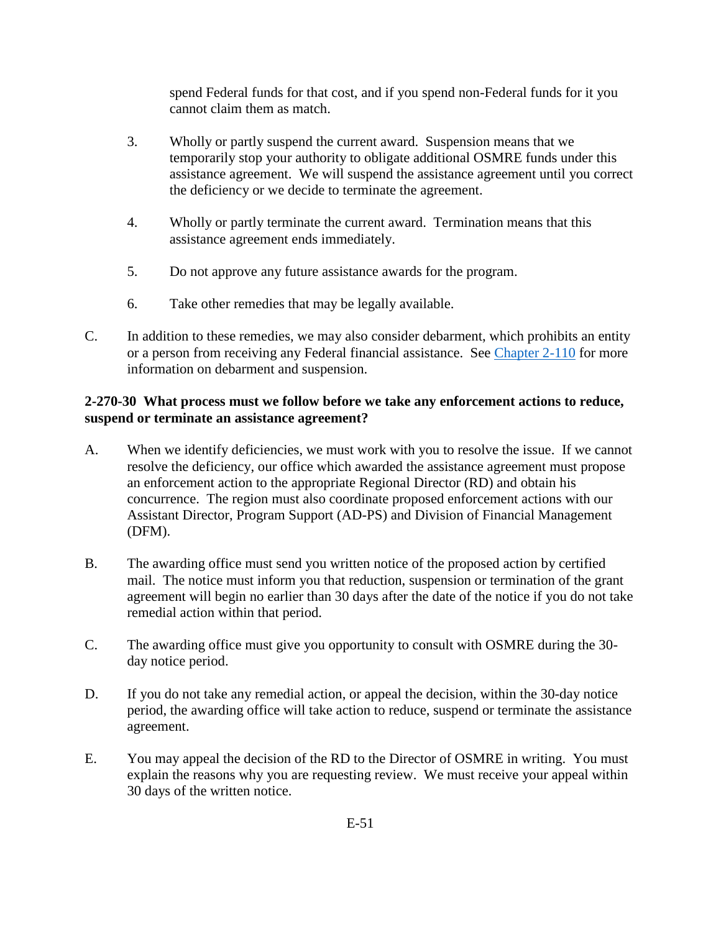spend Federal funds for that cost, and if you spend non-Federal funds for it you cannot claim them as match.

- 3. Wholly or partly suspend the current award. Suspension means that we temporarily stop your authority to obligate additional OSMRE funds under this assistance agreement. We will suspend the assistance agreement until you correct the deficiency or we decide to terminate the agreement.
- 4. Wholly or partly terminate the current award. Termination means that this assistance agreement ends immediately.
- 5. Do not approve any future assistance awards for the program.
- 6. Take other remedies that may be legally available.
- C. In addition to these remedies, we may also consider debarment, which prohibits an entity or a person from receiving any Federal financial assistance. See [Chapter 2-110](https://www.osmre.gov/lrg/fam/2-110.pdf) for more information on debarment and suspension.

# <span id="page-1-0"></span>**2-270-30 What process must we follow before we take any enforcement actions to reduce, suspend or terminate an assistance agreement?**

- A. When we identify deficiencies, we must work with you to resolve the issue. If we cannot resolve the deficiency, our office which awarded the assistance agreement must propose an enforcement action to the appropriate Regional Director (RD) and obtain his concurrence. The region must also coordinate proposed enforcement actions with our Assistant Director, Program Support (AD-PS) and Division of Financial Management (DFM).
- B. The awarding office must send you written notice of the proposed action by certified mail. The notice must inform you that reduction, suspension or termination of the grant agreement will begin no earlier than 30 days after the date of the notice if you do not take remedial action within that period.
- C. The awarding office must give you opportunity to consult with OSMRE during the 30 day notice period.
- D. If you do not take any remedial action, or appeal the decision, within the 30-day notice period, the awarding office will take action to reduce, suspend or terminate the assistance agreement.
- E. You may appeal the decision of the RD to the Director of OSMRE in writing. You must explain the reasons why you are requesting review. We must receive your appeal within 30 days of the written notice.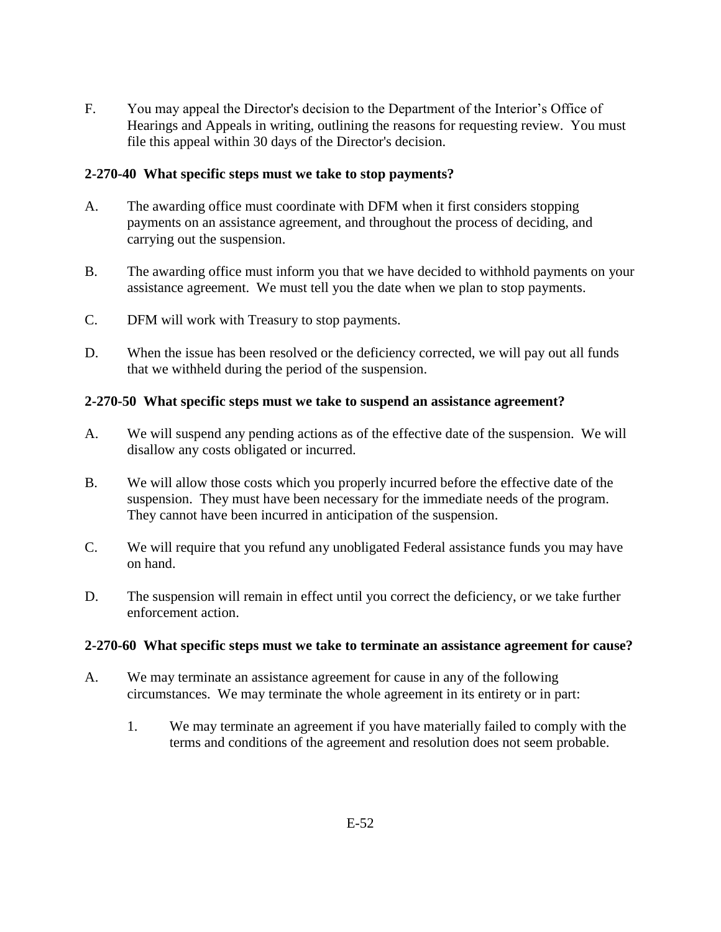F. You may appeal the Director's decision to the Department of the Interior's Office of Hearings and Appeals in writing, outlining the reasons for requesting review. You must file this appeal within 30 days of the Director's decision.

### <span id="page-2-0"></span>**2-270-40 What specific steps must we take to stop payments?**

- A. The awarding office must coordinate with DFM when it first considers stopping payments on an assistance agreement, and throughout the process of deciding, and carrying out the suspension.
- B. The awarding office must inform you that we have decided to withhold payments on your assistance agreement. We must tell you the date when we plan to stop payments.
- C. DFM will work with Treasury to stop payments.
- D. When the issue has been resolved or the deficiency corrected, we will pay out all funds that we withheld during the period of the suspension.

### <span id="page-2-1"></span>**2-270-50 What specific steps must we take to suspend an assistance agreement?**

- A. We will suspend any pending actions as of the effective date of the suspension. We will disallow any costs obligated or incurred.
- B. We will allow those costs which you properly incurred before the effective date of the suspension. They must have been necessary for the immediate needs of the program. They cannot have been incurred in anticipation of the suspension.
- C. We will require that you refund any unobligated Federal assistance funds you may have on hand.
- D. The suspension will remain in effect until you correct the deficiency, or we take further enforcement action.

#### <span id="page-2-2"></span>**2-270-60 What specific steps must we take to terminate an assistance agreement for cause?**

- A. We may terminate an assistance agreement for cause in any of the following circumstances. We may terminate the whole agreement in its entirety or in part:
	- 1. We may terminate an agreement if you have materially failed to comply with the terms and conditions of the agreement and resolution does not seem probable.